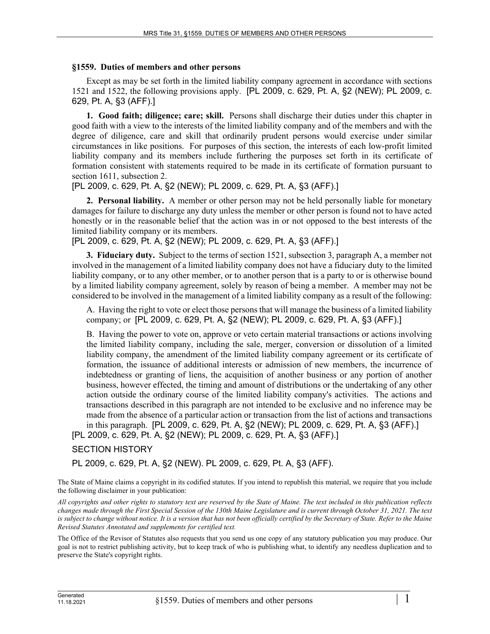## **§1559. Duties of members and other persons**

Except as may be set forth in the limited liability company agreement in accordance with sections 1521 and 1522, the following provisions apply. [PL 2009, c. 629, Pt. A, §2 (NEW); PL 2009, c. 629, Pt. A, §3 (AFF).]

**1. Good faith; diligence; care; skill.** Persons shall discharge their duties under this chapter in good faith with a view to the interests of the limited liability company and of the members and with the degree of diligence, care and skill that ordinarily prudent persons would exercise under similar circumstances in like positions. For purposes of this section, the interests of each low-profit limited liability company and its members include furthering the purposes set forth in its certificate of formation consistent with statements required to be made in its certificate of formation pursuant to section 1611, subsection 2.

[PL 2009, c. 629, Pt. A, §2 (NEW); PL 2009, c. 629, Pt. A, §3 (AFF).]

**2. Personal liability.** A member or other person may not be held personally liable for monetary damages for failure to discharge any duty unless the member or other person is found not to have acted honestly or in the reasonable belief that the action was in or not opposed to the best interests of the limited liability company or its members.

[PL 2009, c. 629, Pt. A, §2 (NEW); PL 2009, c. 629, Pt. A, §3 (AFF).]

**3. Fiduciary duty.** Subject to the terms of section 1521, subsection 3, paragraph A, a member not involved in the management of a limited liability company does not have a fiduciary duty to the limited liability company, or to any other member, or to another person that is a party to or is otherwise bound by a limited liability company agreement, solely by reason of being a member. A member may not be considered to be involved in the management of a limited liability company as a result of the following:

A. Having the right to vote or elect those persons that will manage the business of a limited liability company; or [PL 2009, c. 629, Pt. A, §2 (NEW); PL 2009, c. 629, Pt. A, §3 (AFF).]

B. Having the power to vote on, approve or veto certain material transactions or actions involving the limited liability company, including the sale, merger, conversion or dissolution of a limited liability company, the amendment of the limited liability company agreement or its certificate of formation, the issuance of additional interests or admission of new members, the incurrence of indebtedness or granting of liens, the acquisition of another business or any portion of another business, however effected, the timing and amount of distributions or the undertaking of any other action outside the ordinary course of the limited liability company's activities. The actions and transactions described in this paragraph are not intended to be exclusive and no inference may be made from the absence of a particular action or transaction from the list of actions and transactions in this paragraph. [PL 2009, c. 629, Pt. A, §2 (NEW); PL 2009, c. 629, Pt. A, §3 (AFF).]

[PL 2009, c. 629, Pt. A, §2 (NEW); PL 2009, c. 629, Pt. A, §3 (AFF).]

## SECTION HISTORY

PL 2009, c. 629, Pt. A, §2 (NEW). PL 2009, c. 629, Pt. A, §3 (AFF).

The State of Maine claims a copyright in its codified statutes. If you intend to republish this material, we require that you include the following disclaimer in your publication:

*All copyrights and other rights to statutory text are reserved by the State of Maine. The text included in this publication reflects changes made through the First Special Session of the 130th Maine Legislature and is current through October 31, 2021. The text*  is subject to change without notice. It is a version that has not been officially certified by the Secretary of State. Refer to the Maine *Revised Statutes Annotated and supplements for certified text.*

The Office of the Revisor of Statutes also requests that you send us one copy of any statutory publication you may produce. Our goal is not to restrict publishing activity, but to keep track of who is publishing what, to identify any needless duplication and to preserve the State's copyright rights.